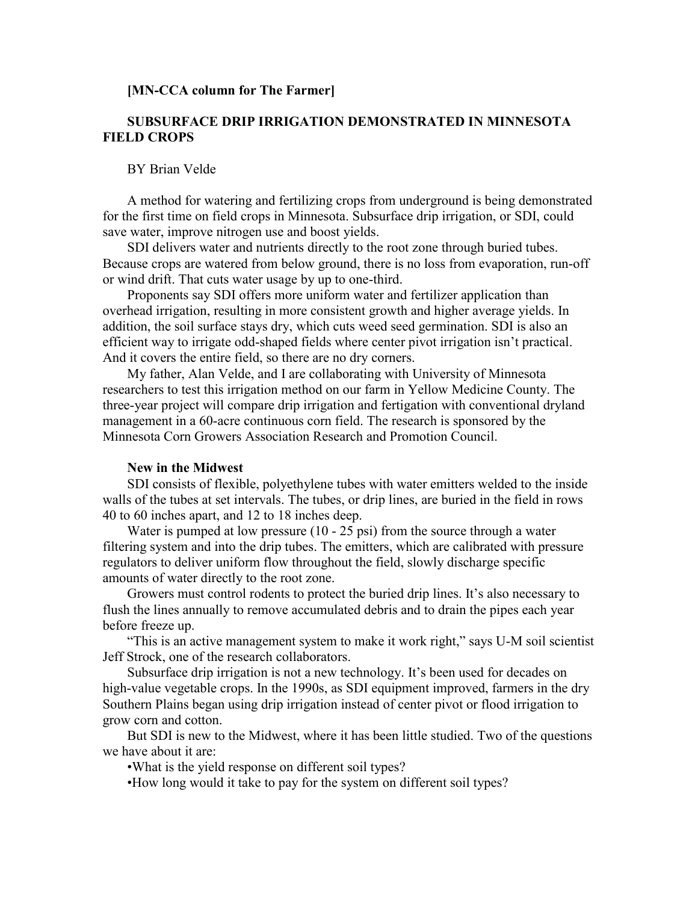#### **[MN-CCA column for The Farmer]**

# **SUBSURFACE DRIP IRRIGATION DEMONSTRATED IN MINNESOTA FIELD CROPS**

### BY Brian Velde

A method for watering and fertilizing crops from underground is being demonstrated for the first time on field crops in Minnesota. Subsurface drip irrigation, or SDI, could save water, improve nitrogen use and boost yields.

SDI delivers water and nutrients directly to the root zone through buried tubes. Because crops are watered from below ground, there is no loss from evaporation, run-off or wind drift. That cuts water usage by up to one-third.

Proponents say SDI offers more uniform water and fertilizer application than overhead irrigation, resulting in more consistent growth and higher average yields. In addition, the soil surface stays dry, which cuts weed seed germination. SDI is also an efficient way to irrigate odd-shaped fields where center pivot irrigation isn't practical. And it covers the entire field, so there are no dry corners.

My father, Alan Velde, and I are collaborating with University of Minnesota researchers to test this irrigation method on our farm in Yellow Medicine County. The three-year project will compare drip irrigation and fertigation with conventional dryland management in a 60-acre continuous corn field. The research is sponsored by the Minnesota Corn Growers Association Research and Promotion Council.

#### **New in the Midwest**

SDI consists of flexible, polyethylene tubes with water emitters welded to the inside walls of the tubes at set intervals. The tubes, or drip lines, are buried in the field in rows 40 to 60 inches apart, and 12 to 18 inches deep.

Water is pumped at low pressure (10 - 25 psi) from the source through a water filtering system and into the drip tubes. The emitters, which are calibrated with pressure regulators to deliver uniform flow throughout the field, slowly discharge specific amounts of water directly to the root zone.

Growers must control rodents to protect the buried drip lines. It's also necessary to flush the lines annually to remove accumulated debris and to drain the pipes each year before freeze up.

"This is an active management system to make it work right," says U-M soil scientist Jeff Strock, one of the research collaborators.

Subsurface drip irrigation is not a new technology. It's been used for decades on high-value vegetable crops. In the 1990s, as SDI equipment improved, farmers in the dry Southern Plains began using drip irrigation instead of center pivot or flood irrigation to grow corn and cotton.

But SDI is new to the Midwest, where it has been little studied. Two of the questions we have about it are:

•What is the yield response on different soil types?

•How long would it take to pay for the system on different soil types?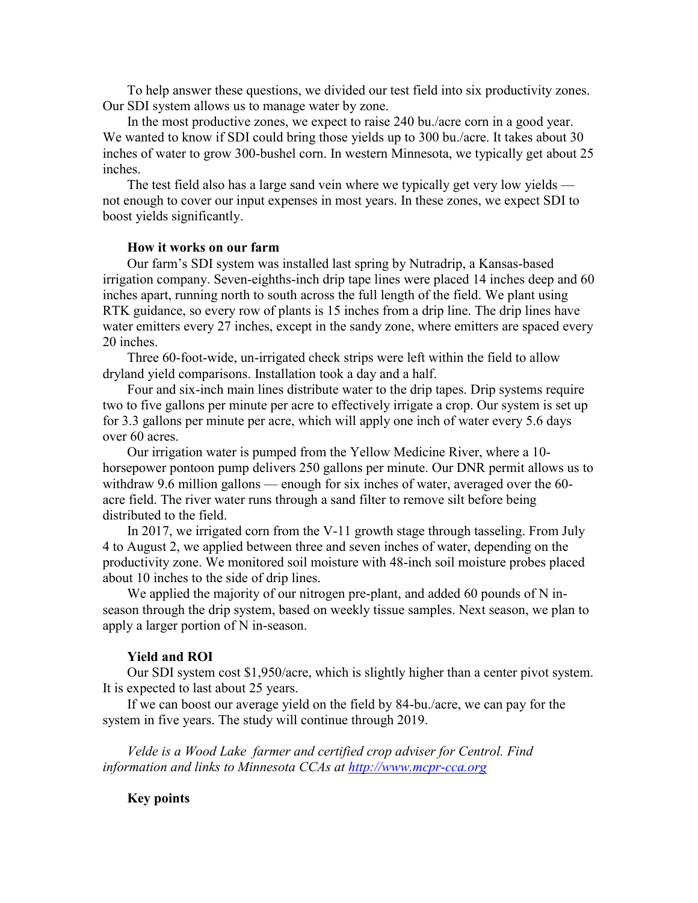To help answer these questions, we divided our test field into six productivity zones. Our SDI system allows us to manage water by zone.

In the most productive zones, we expect to raise 240 bu./acre corn in a good year. We wanted to know if SDI could bring those yields up to 300 bu./acre. It takes about 30 inches of water to grow 300-bushel corn. In western Minnesota, we typically get about 25 inches.

The test field also has a large sand vein where we typically get very low yields not enough to cover our input expenses in most years. In these zones, we expect SDI to boost yields significantly.

### **How it works on our farm**

Our farm's SDI system was installed last spring by Nutradrip, a Kansas-based irrigation company. Seven-eighths-inch drip tape lines were placed 14 inches deep and 60 inches apart, running north to south across the full length of the field. We plant using RTK guidance, so every row of plants is 15 inches from a drip line. The drip lines have water emitters every 27 inches, except in the sandy zone, where emitters are spaced every 20 inches.

Three 60-foot-wide, un-irrigated check strips were left within the field to allow dryland yield comparisons. Installation took a day and a half.

Four and six-inch main lines distribute water to the drip tapes. Drip systems require two to five gallons per minute per acre to effectively irrigate a crop. Our system is set up for 3.3 gallons per minute per acre, which will apply one inch of water every 5.6 days over 60 acres.

Our irrigation water is pumped from the Yellow Medicine River, where a 10 horsepower pontoon pump delivers 250 gallons per minute. Our DNR permit allows us to withdraw 9.6 million gallons — enough for six inches of water, averaged over the 60 acre field. The river water runs through a sand filter to remove silt before being distributed to the field.

In 2017, we irrigated corn from the V-11 growth stage through tasseling. From July 4 to August 2, we applied between three and seven inches of water, depending on the productivity zone. We monitored soil moisture with 48-inch soil moisture probes placed about 10 inches to the side of drip lines.

We applied the majority of our nitrogen pre-plant, and added 60 pounds of N inseason through the drip system, based on weekly tissue samples. Next season, we plan to apply a larger portion of N in-season.

#### **Yield and ROI**

Our SDI system cost \$1,950/acre, which is slightly higher than a center pivot system. It is expected to last about 25 years.

If we can boost our average yield on the field by 84-bu./acre, we can pay for the system in five years. The study will continue through 2019.

*Velde is a Wood Lake farmer and certified crop adviser for Centrol. Find information and links to Minnesota CCAs at [http://www.mcpr-cca.org](http://www.mcpr-cca.org/)*

## **Key points**